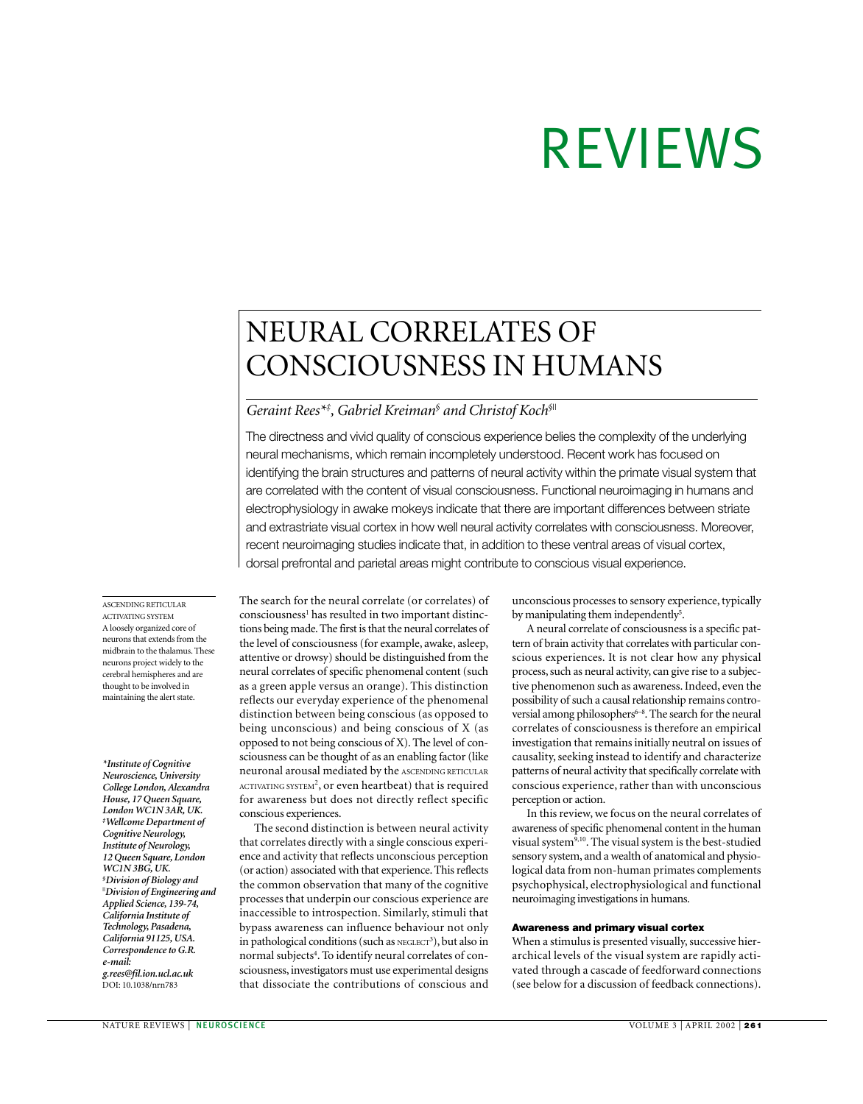# REVIEWS

# NEURAL CORRELATES OF CONSCIOUSNESS IN HUMANS

# *Geraint Rees\*‡ , Gabriel Kreiman§ and Christof Koch§||*

The directness and vivid quality of conscious experience belies the complexity of the underlying neural mechanisms, which remain incompletely understood. Recent work has focused on identifying the brain structures and patterns of neural activity within the primate visual system that are correlated with the content of visual consciousness. Functional neuroimaging in humans and electrophysiology in awake mokeys indicate that there are important differences between striate and extrastriate visual cortex in how well neural activity correlates with consciousness. Moreover, recent neuroimaging studies indicate that, in addition to these ventral areas of visual cortex, dorsal prefrontal and parietal areas might contribute to conscious visual experience.

ASCENDING RETICULAR ACTIVATING SYSTEM A loosely organized core of neurons that extends from the midbrain to the thalamus. These neurons project widely to the cerebral hemispheres and are thought to be involved in maintaining the alert state.

*\*Institute of Cognitive Neuroscience, University College London, Alexandra House, 17 Queen Square, London WC1N 3AR, UK. ‡ Wellcome Department of Cognitive Neurology, Institute of Neurology, 12 Queen Square, London WC1N 3BG, UK. § Division of Biology and ||Division of Engineering and Applied Science, 139-74, California Institute of Technology, Pasadena, California 91125, USA. Correspondence to G.R. e-mail: g.rees@fil.ion.ucl.ac.uk* DOI: 10.1038/nrn783

The search for the neural correlate (or correlates) of consciousness<sup>1</sup> has resulted in two important distinctions being made. The first is that the neural correlates of the level of consciousness (for example, awake, asleep, attentive or drowsy) should be distinguished from the neural correlates of specific phenomenal content (such as a green apple versus an orange). This distinction reflects our everyday experience of the phenomenal distinction between being conscious (as opposed to being unconscious) and being conscious of X (as opposed to not being conscious of X). The level of consciousness can be thought of as an enabling factor (like neuronal arousal mediated by the ASCENDING RETICULAR ACTIVATING SYSTEM<sup>2</sup>, or even heartbeat) that is required for awareness but does not directly reflect specific conscious experiences.

The second distinction is between neural activity that correlates directly with a single conscious experience and activity that reflects unconscious perception (or action) associated with that experience. This reflects the common observation that many of the cognitive processes that underpin our conscious experience are inaccessible to introspection. Similarly, stimuli that bypass awareness can influence behaviour not only in pathological conditions (such as NEGLECT<sup>3</sup>), but also in normal subjects<sup>4</sup>. To identify neural correlates of consciousness, investigators must use experimental designs that dissociate the contributions of conscious and

unconscious processes to sensory experience, typically by manipulating them independently<sup>5</sup>.

A neural correlate of consciousness is a specific pattern of brain activity that correlates with particular conscious experiences. It is not clear how any physical process, such as neural activity, can give rise to a subjective phenomenon such as awareness. Indeed, even the possibility of such a causal relationship remains controversial among philosophers<sup>6-8</sup>. The search for the neural correlates of consciousness is therefore an empirical investigation that remains initially neutral on issues of causality, seeking instead to identify and characterize patterns of neural activity that specifically correlate with conscious experience, rather than with unconscious perception or action.

In this review, we focus on the neural correlates of awareness of specific phenomenal content in the human visual system<sup>9,10</sup>. The visual system is the best-studied sensory system, and a wealth of anatomical and physiological data from non-human primates complements psychophysical, electrophysiological and functional neuroimaging investigations in humans.

# **Awareness and primary visual cortex**

When a stimulus is presented visually, successive hierarchical levels of the visual system are rapidly activated through a cascade of feedforward connections (see below for a discussion of feedback connections).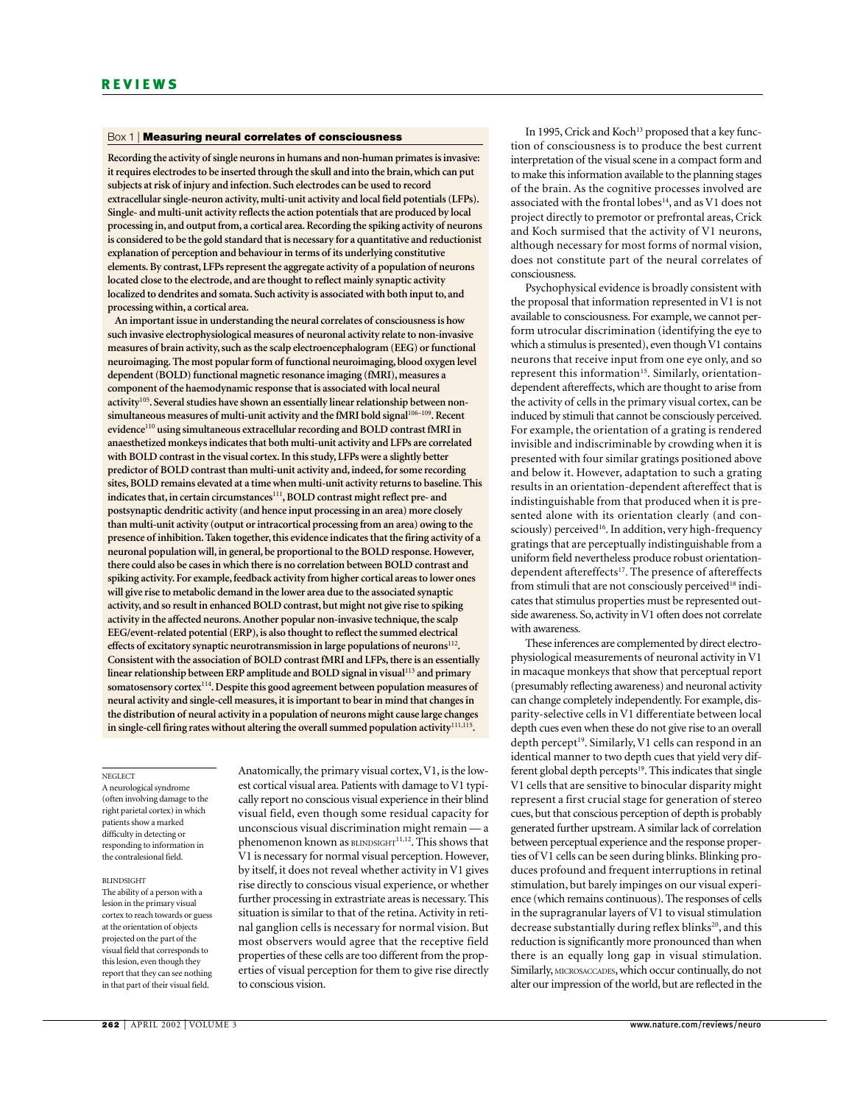# Box 1 | **Measuring neural correlates of consciousness**

**Recording the activity of single neurons in humans and non-human primates is invasive: it requires electrodes to be inserted through the skull and into the brain, which can put subjects at risk of injury and infection. Such electrodes can be used to record extracellular single-neuron activity, multi-unit activity and local field potentials (LFPs). Single- and multi-unit activity reflects the action potentials that are produced by local processing in, and output from, a cortical area. Recording the spiking activity of neurons is considered to be the gold standard that is necessary for a quantitative and reductionist explanation of perception and behaviour in terms of its underlying constitutive elements. By contrast, LFPs represent the aggregate activity of a population of neurons located close to the electrode, and are thought to reflect mainly synaptic activity localized to dendrites and somata. Such activity is associated with both input to, and processing within, a cortical area.**

**An important issue in understanding the neural correlates of consciousness is how such invasive electrophysiological measures of neuronal activity relate to non-invasive measures of brain activity, such as the scalp electroencephalogram (EEG) or functional neuroimaging. The most popular form of functional neuroimaging, blood oxygen level dependent (BOLD) functional magnetic resonance imaging (fMRI), measures a component of the haemodynamic response that is associated with local neural activity**105**. Several studies have shown an essentially linear relationship between nonsimultaneous measures of multi-unit activity and the fMRI bold signal**106–109**. Recent evidence**<sup>110</sup> **using simultaneous extracellular recording and BOLD contrast fMRI in anaesthetized monkeys indicates that both multi-unit activity and LFPs are correlated with BOLD contrast in the visual cortex. In this study, LFPs were a slightly better predictor of BOLD contrast than multi-unit activity and, indeed, for some recording sites, BOLD remains elevated at a time when multi-unit activity returns to baseline. This indicates that, in certain circumstances**<sup>111</sup>**, BOLD contrast might reflect pre- and postsynaptic dendritic activity (and hence input processing in an area) more closely than multi-unit activity (output or intracortical processing from an area) owing to the presence of inhibition. Taken together, this evidence indicates that the firing activity of a neuronal population will, in general, be proportional to the BOLD response. However, there could also be cases in which there is no correlation between BOLD contrast and spiking activity. For example, feedback activity from higher cortical areas to lower ones will give rise to metabolic demand in the lower area due to the associated synaptic activity, and so result in enhanced BOLD contrast, but might not give rise to spiking activity in the affected neurons. Another popular non-invasive technique, the scalp EEG/event-related potential (ERP), is also thought to reflect the summed electrical effects of excitatory synaptic neurotransmission in large populations of neurons**<sup>112</sup>**. Consistent with the association of BOLD contrast fMRI and LFPs, there is an essentially linear relationship between ERP amplitude and BOLD signal in visual**<sup>113</sup> **and primary somatosensory cortex**<sup>114</sup>**. Despite this good agreement between population measures of neural activity and single-cell measures, it is important to bear in mind that changes in the distribution of neural activity in a population of neurons might cause large changes in single-cell firing rates without altering the overall summed population activity**111,115**.**

**NEGLECT** 

A neurological syndrome (often involving damage to the right parietal cortex) in which patients show a marked difficulty in detecting or responding to information in the contralesional field.

BLINDSIGHT

The ability of a person with a lesion in the primary visual cortex to reach towards or guess at the orientation of objects projected on the part of the visual field that corresponds to this lesion, even though they report that they can see nothing in that part of their visual field.

Anatomically, the primary visual cortex, V1, is the lowest cortical visual area. Patients with damage to V1 typically report no conscious visual experience in their blind visual field, even though some residual capacity for unconscious visual discrimination might remain — a phenomenon known as  $BLINDSGHT^{11,12}$ . This shows that V1 is necessary for normal visual perception. However, by itself, it does not reveal whether activity in V1 gives rise directly to conscious visual experience, or whether further processing in extrastriate areas is necessary. This situation is similar to that of the retina. Activity in retinal ganglion cells is necessary for normal vision. But most observers would agree that the receptive field properties of these cells are too different from the properties of visual perception for them to give rise directly to conscious vision.

In 1995, Crick and Koch<sup>13</sup> proposed that a key function of consciousness is to produce the best current interpretation of the visual scene in a compact form and to make this information available to the planning stages of the brain. As the cognitive processes involved are associated with the frontal lobes<sup>14</sup>, and as V1 does not project directly to premotor or prefrontal areas, Crick and Koch surmised that the activity of V1 neurons, although necessary for most forms of normal vision, does not constitute part of the neural correlates of consciousness.

Psychophysical evidence is broadly consistent with the proposal that information represented in V1 is not available to consciousness. For example, we cannot perform utrocular discrimination (identifying the eye to which a stimulus is presented), even though V1 contains neurons that receive input from one eye only, and so represent this information<sup>15</sup>. Similarly, orientationdependent aftereffects, which are thought to arise from the activity of cells in the primary visual cortex, can be induced by stimuli that cannot be consciously perceived. For example, the orientation of a grating is rendered invisible and indiscriminable by crowding when it is presented with four similar gratings positioned above and below it. However, adaptation to such a grating results in an orientation-dependent aftereffect that is indistinguishable from that produced when it is presented alone with its orientation clearly (and consciously) perceived<sup>16</sup>. In addition, very high-frequency gratings that are perceptually indistinguishable from a uniform field nevertheless produce robust orientationdependent aftereffects<sup>17</sup>. The presence of aftereffects from stimuli that are not consciously perceived<sup>18</sup> indicates that stimulus properties must be represented outside awareness. So, activity in V1 often does not correlate with awareness.

These inferences are complemented by direct electrophysiological measurements of neuronal activity in V1 in macaque monkeys that show that perceptual report (presumably reflecting awareness) and neuronal activity can change completely independently. For example, disparity-selective cells in V1 differentiate between local depth cues even when these do not give rise to an overall depth percept<sup>19</sup>. Similarly, V1 cells can respond in an identical manner to two depth cues that yield very different global depth percepts<sup>19</sup>. This indicates that single V1 cells that are sensitive to binocular disparity might represent a first crucial stage for generation of stereo cues, but that conscious perception of depth is probably generated further upstream. A similar lack of correlation between perceptual experience and the response properties of V1 cells can be seen during blinks. Blinking produces profound and frequent interruptions in retinal stimulation, but barely impinges on our visual experience (which remains continuous). The responses of cells in the supragranular layers of V1 to visual stimulation decrease substantially during reflex blinks<sup>20</sup>, and this reduction is significantly more pronounced than when there is an equally long gap in visual stimulation. Similarly, MICROSACCADES, which occur continually, do not alter our impression of the world, but are reflected in the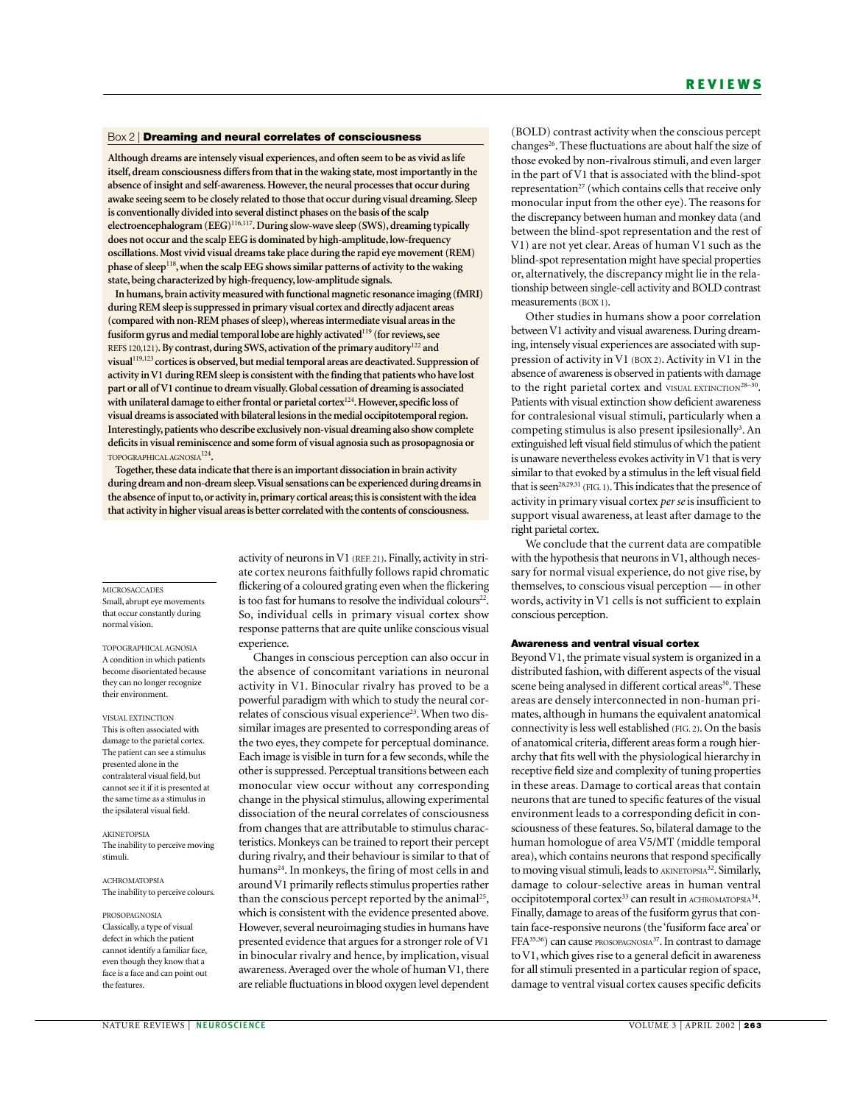# Box 2 | **Dreaming and neural correlates of consciousness**

**Although dreams are intensely visual experiences, and often seem to be as vivid as life itself, dream consciousness differs from that in the waking state, most importantly in the absence of insight and self-awareness. However, the neural processes that occur during awake seeing seem to be closely related to those that occur during visual dreaming. Sleep is conventionally divided into several distinct phases on the basis of the scalp electroencephalogram (EEG)**116,117**. During slow-wave sleep (SWS), dreaming typically does not occur and the scalp EEG is dominated by high-amplitude, low-frequency oscillations. Most vivid visual dreams take place during the rapid eye movement (REM) phase of sleep**<sup>118</sup>**, when the scalp EEG shows similar patterns of activity to the waking state, being characterized by high-frequency, low-amplitude signals.**

**In humans, brain activity measured with functional magnetic resonance imaging (fMRI) during REM sleep is suppressed in primary visual cortex and directly adjacent areas (compared with non-REM phases of sleep), whereas intermediate visual areas in the fusiform gyrus and medial temporal lobe are highly activated**<sup>119</sup> **(for reviews, see**  REFS 120,121)**. By contrast, during SWS, activation of the primary auditory**<sup>122</sup> **and visual**119,123 **cortices is observed, but medial temporal areas are deactivated. Suppression of activity in V1 during REM sleep is consistent with the finding that patients who have lost part or all of V1 continue to dream visually. Global cessation of dreaming is associated with unilateral damage to either frontal or parietal cortex**<sup>124</sup>**. However, specific loss of visual dreams is associated with bilateral lesions in the medial occipitotemporal region. Interestingly, patients who describe exclusively non-visual dreaming also show complete deficits in visual reminiscence and some form of visual agnosia such as prosopagnosia or** TOPOGRAPHICAL AGNOSIA124**.**

Together, these data indicate that there is an important dissociation in brain activity **during dream and non-dream sleep.Visual sensations can be experienced during dreams in the absence of input to,or activity in,primary cortical areas; this is consistent with the idea that activity in higher visual areas is better correlated with the contents of consciousness.**

**MICROSACCADES** 

Small, abrupt eye movements that occur constantly during normal vision.

TOPOGRAPHICAL AGNOSIA A condition in which patients become disorientated because they can no longer recognize their environment.

VISUAL EXTINCTION This is often associated with damage to the parietal cortex. The patient can see a stimulus presented alone in the contralateral visual field, but cannot see it if it is presented at the same time as a stimulus in the ipsilateral visual field.

AKINETOPSIA The inability to perceive moving stimuli.

ACHROMATOPSIA The inability to perceive colours.

PROSOPAGNOSIA Classically, a type of visual defect in which the patient cannot identify a familiar face, even though they know that a face is a face and can point out the features.

activity of neurons in V1 (REF. 21). Finally, activity in striate cortex neurons faithfully follows rapid chromatic flickering of a coloured grating even when the flickering is too fast for humans to resolve the individual colours<sup>22</sup>. So, individual cells in primary visual cortex show response patterns that are quite unlike conscious visual experience.

Changes in conscious perception can also occur in the absence of concomitant variations in neuronal activity in V1. Binocular rivalry has proved to be a powerful paradigm with which to study the neural correlates of conscious visual experience<sup>23</sup>. When two dissimilar images are presented to corresponding areas of the two eyes, they compete for perceptual dominance. Each image is visible in turn for a few seconds, while the other is suppressed. Perceptual transitions between each monocular view occur without any corresponding change in the physical stimulus, allowing experimental dissociation of the neural correlates of consciousness from changes that are attributable to stimulus characteristics. Monkeys can be trained to report their percept during rivalry, and their behaviour is similar to that of humans<sup>24</sup>. In monkeys, the firing of most cells in and around V1 primarily reflects stimulus properties rather than the conscious percept reported by the animal<sup>25</sup>, which is consistent with the evidence presented above. However, several neuroimaging studies in humans have presented evidence that argues for a stronger role of V1 in binocular rivalry and hence, by implication, visual awareness. Averaged over the whole of human V1, there are reliable fluctuations in blood oxygen level dependent

(BOLD) contrast activity when the conscious percept changes<sup>26</sup>. These fluctuations are about half the size of those evoked by non-rivalrous stimuli, and even larger in the part of V1 that is associated with the blind-spot representation<sup>27</sup> (which contains cells that receive only monocular input from the other eye). The reasons for the discrepancy between human and monkey data (and between the blind-spot representation and the rest of V1) are not yet clear. Areas of human V1 such as the blind-spot representation might have special properties or, alternatively, the discrepancy might lie in the relationship between single-cell activity and BOLD contrast measurements (BOX 1).

Other studies in humans show a poor correlation between V1 activity and visual awareness. During dreaming, intensely visual experiences are associated with suppression of activity in V1 (BOX 2). Activity in V1 in the absence of awareness is observed in patients with damage to the right parietal cortex and VISUAL EXTINCTION<sup>28–30</sup>. Patients with visual extinction show deficient awareness for contralesional visual stimuli, particularly when a competing stimulus is also present ipsilesionally<sup>3</sup>. An extinguished left visual field stimulus of which the patient is unaware nevertheless evokes activity in V1 that is very similar to that evoked by a stimulus in the left visual field that is seen<sup>28,29,31</sup> (FIG. 1). This indicates that the presence of activity in primary visual cortex *per se*is insufficient to support visual awareness, at least after damage to the right parietal cortex.

We conclude that the current data are compatible with the hypothesis that neurons in V1, although necessary for normal visual experience, do not give rise, by themselves, to conscious visual perception — in other words, activity in V1 cells is not sufficient to explain conscious perception.

#### **Awareness and ventral visual cortex**

Beyond V1, the primate visual system is organized in a distributed fashion, with different aspects of the visual scene being analysed in different cortical areas<sup>30</sup>. These areas are densely interconnected in non-human primates, although in humans the equivalent anatomical connectivity is less well established (FIG. 2). On the basis of anatomical criteria, different areas form a rough hierarchy that fits well with the physiological hierarchy in receptive field size and complexity of tuning properties in these areas. Damage to cortical areas that contain neurons that are tuned to specific features of the visual environment leads to a corresponding deficit in consciousness of these features. So, bilateral damage to the human homologue of area V5/MT (middle temporal area), which contains neurons that respond specifically to moving visual stimuli, leads to AKINETOPSIA<sup>32</sup>. Similarly, damage to colour-selective areas in human ventral occipitotemporal cortex<sup>33</sup> can result in ACHROMATOPSIA<sup>34</sup>. Finally, damage to areas of the fusiform gyrus that contain face-responsive neurons (the 'fusiform face area' or FFA<sup>35,36</sup>) can cause PROSOPAGNOSIA<sup>37</sup>. In contrast to damage to V1, which gives rise to a general deficit in awareness for all stimuli presented in a particular region of space, damage to ventral visual cortex causes specific deficits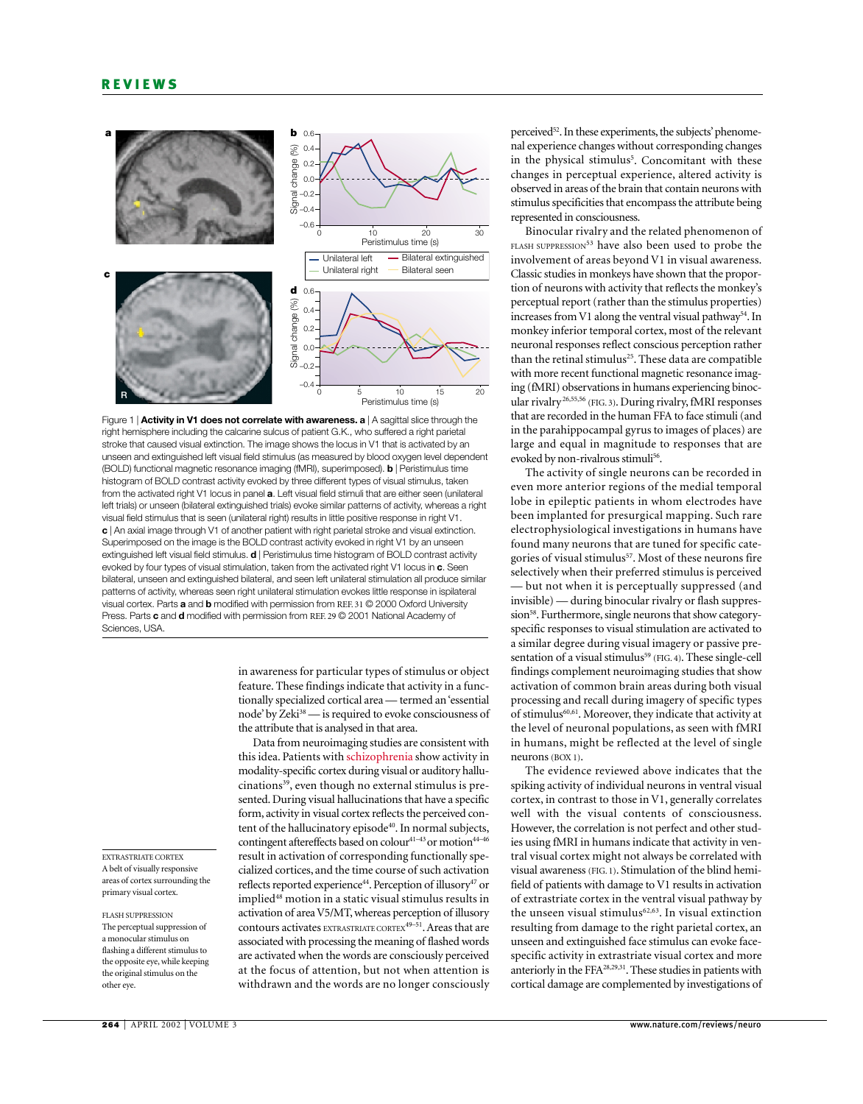

Figure 1 | Activity in V1 does not correlate with awareness. a | A sagittal slice through the right hemisphere including the calcarine sulcus of patient G.K., who suffered a right parietal stroke that caused visual extinction. The image shows the locus in V1 that is activated by an unseen and extinguished left visual field stimulus (as measured by blood oxygen level dependent (BOLD) functional magnetic resonance imaging (fMRI), superimposed). **b** | Peristimulus time histogram of BOLD contrast activity evoked by three different types of visual stimulus, taken from the activated right V1 locus in panel **a**. Left visual field stimuli that are either seen (unilateral left trials) or unseen (bilateral extinguished trials) evoke similar patterns of activity, whereas a right visual field stimulus that is seen (unilateral right) results in little positive response in right V1. **c** | An axial image through V1 of another patient with right parietal stroke and visual extinction. Superimposed on the image is the BOLD contrast activity evoked in right V1 by an unseen extinguished left visual field stimulus. **d** | Peristimulus time histogram of BOLD contrast activity evoked by four types of visual stimulation, taken from the activated right V1 locus in **c**. Seen bilateral, unseen and extinguished bilateral, and seen left unilateral stimulation all produce similar patterns of activity, whereas seen right unilateral stimulation evokes little response in ispilateral visual cortex. Parts **a** and **b** modified with permission from REF. 31 © 2000 Oxford University Press. Parts **c** and **d** modified with permission from REF. 29 © 2001 National Academy of Sciences, USA.

in awareness for particular types of stimulus or object feature. These findings indicate that activity in a functionally specialized cortical area — termed an 'essential node' by Zeki38 — is required to evoke consciousness of the attribute that is analysed in that area.

Data from neuroimaging studies are consistent with this idea. Patients with schizophrenia show activity in modality-specific cortex during visual or auditory hallucinations<sup>39</sup>, even though no external stimulus is presented. During visual hallucinations that have a specific form, activity in visual cortex reflects the perceived content of the hallucinatory episode<sup>40</sup>. In normal subjects, contingent aftereffects based on colour $41-43$  or motion $44-46$ result in activation of corresponding functionally specialized cortices, and the time course of such activation reflects reported experience<sup>44</sup>. Perception of illusory<sup>47</sup> or implied<sup>48</sup> motion in a static visual stimulus results in activation of area V5/MT, whereas perception of illusory contours activates EXTRASTRIATE CORTEX<sup>49-51</sup>. Areas that are associated with processing the meaning of flashed words are activated when the words are consciously perceived at the focus of attention, but not when attention is withdrawn and the words are no longer consciously perceived<sup>52</sup>. In these experiments, the subjects' phenomenal experience changes without corresponding changes in the physical stimulus<sup>5</sup>. Concomitant with these changes in perceptual experience, altered activity is observed in areas of the brain that contain neurons with stimulus specificities that encompass the attribute being represented in consciousness.

Binocular rivalry and the related phenomenon of FLASH SUPPRESSION<sup>53</sup> have also been used to probe the involvement of areas beyond V1 in visual awareness. Classic studies in monkeys have shown that the proportion of neurons with activity that reflects the monkey's perceptual report (rather than the stimulus properties) increases from V1 along the ventral visual pathway<sup>54</sup>. In monkey inferior temporal cortex, most of the relevant neuronal responses reflect conscious perception rather than the retinal stimulus<sup>25</sup>. These data are compatible with more recent functional magnetic resonance imaging (fMRI) observations in humans experiencing binocular rivalry 26,55,56 (FIG. 3). During rivalry, fMRI responses that are recorded in the human FFA to face stimuli (and in the parahippocampal gyrus to images of places) are large and equal in magnitude to responses that are evoked by non-rivalrous stimuli<sup>56</sup>.

The activity of single neurons can be recorded in even more anterior regions of the medial temporal lobe in epileptic patients in whom electrodes have been implanted for presurgical mapping. Such rare electrophysiological investigations in humans have found many neurons that are tuned for specific categories of visual stimulus<sup>57</sup>. Most of these neurons fire selectively when their preferred stimulus is perceived — but not when it is perceptually suppressed (and invisible) — during binocular rivalry or flash suppression<sup>58</sup>. Furthermore, single neurons that show categoryspecific responses to visual stimulation are activated to a similar degree during visual imagery or passive presentation of a visual stimulus<sup>59</sup> (FIG. 4). These single-cell findings complement neuroimaging studies that show activation of common brain areas during both visual processing and recall during imagery of specific types of stimulus<sup>60,61</sup>. Moreover, they indicate that activity at the level of neuronal populations, as seen with fMRI in humans, might be reflected at the level of single neurons (BOX 1).

The evidence reviewed above indicates that the spiking activity of individual neurons in ventral visual cortex, in contrast to those in V1, generally correlates well with the visual contents of consciousness. However, the correlation is not perfect and other studies using fMRI in humans indicate that activity in ventral visual cortex might not always be correlated with visual awareness (FIG. 1). Stimulation of the blind hemifield of patients with damage to V1 results in activation of extrastriate cortex in the ventral visual pathway by the unseen visual stimulus<sup>62,63</sup>. In visual extinction resulting from damage to the right parietal cortex, an unseen and extinguished face stimulus can evoke facespecific activity in extrastriate visual cortex and more anteriorly in the FFA28,29,31. These studies in patients with cortical damage are complemented by investigations of

EXTRASTRIATE CORTEX A belt of visually responsive areas of cortex surrounding the primary visual cortex.

FLASH SUPPRESSION The perceptual suppression of a monocular stimulus on flashing a different stimulus to the opposite eye, while keeping the original stimulus on the other eye.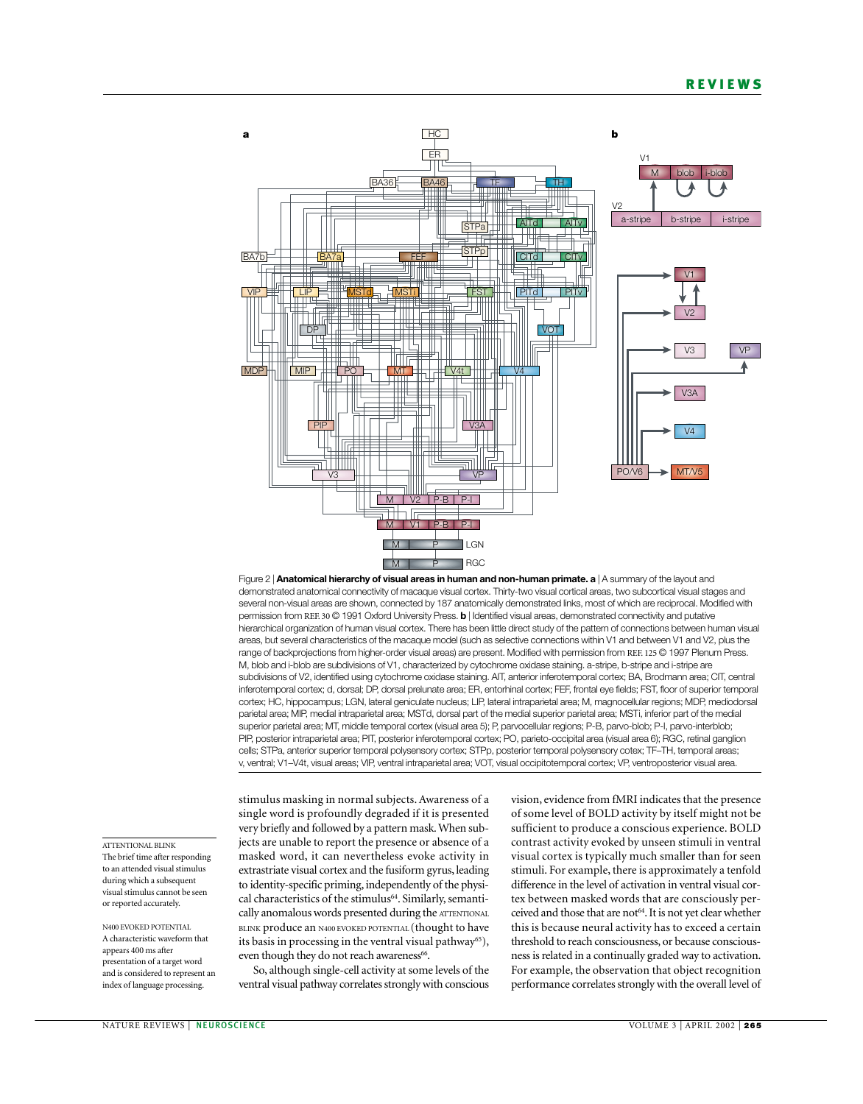

Figure 2 | Anatomical hierarchy of visual areas in human and non-human primate. a | A summary of the layout and demonstrated anatomical connectivity of macaque visual cortex. Thirty-two visual cortical areas, two subcortical visual stages and several non-visual areas are shown, connected by 187 anatomically demonstrated links, most of which are reciprocal. Modified with permission from REF. 30 © 1991 Oxford University Press. **b** | Identified visual areas, demonstrated connectivity and putative hierarchical organization of human visual cortex. There has been little direct study of the pattern of connections between human visual areas, but several characteristics of the macaque model (such as selective connections within V1 and between V1 and V2, plus the range of backprojections from higher-order visual areas) are present. Modified with permission from REF. 125 © 1997 Plenum Press. M, blob and i-blob are subdivisions of V1, characterized by cytochrome oxidase staining. a-stripe, b-stripe and i-stripe are subdivisions of V2, identified using cytochrome oxidase staining. AIT, anterior inferotemporal cortex; BA, Brodmann area; CIT, central inferotemporal cortex; d, dorsal; DP, dorsal prelunate area; ER, entorhinal cortex; FEF, frontal eye fields; FST, floor of superior temporal cortex; HC, hippocampus; LGN, lateral geniculate nucleus; LIP, lateral intraparietal area; M, magnocellular regions; MDP, mediodorsal parietal area; MIP, medial intraparietal area; MSTd, dorsal part of the medial superior parietal area; MSTi, inferior part of the medial superior parietal area; MT, middle temporal cortex (visual area 5); P, parvocellular regions; P-B, parvo-blob; P-I, parvo-interblob; PIP, posterior intraparietal area; PIT, posterior inferotemporal cortex; PO, parieto-occipital area (visual area 6); RGC, retinal ganglion cells; STPa, anterior superior temporal polysensory cortex; STPp, posterior temporal polysensory cotex; TF–TH, temporal areas; v, ventral; V1–V4t, visual areas; VIP, ventral intraparietal area; VOT, visual occipitotemporal cortex; VP, ventroposterior visual area.

ATTENTIONAL BLINK

The brief time after responding to an attended visual stimulus during which a subsequent visual stimulus cannot be seen or reported accurately.

N400 EVOKED POTENTIAL A characteristic waveform that appears 400 ms after presentation of a target word and is considered to represent an index of language processing.

stimulus masking in normal subjects. Awareness of a single word is profoundly degraded if it is presented very briefly and followed by a pattern mask. When subjects are unable to report the presence or absence of a masked word, it can nevertheless evoke activity in extrastriate visual cortex and the fusiform gyrus, leading to identity-specific priming, independently of the physical characteristics of the stimulus<sup>64</sup>. Similarly, semantically anomalous words presented during the ATTENTIONAL BLINK produce an N400 EVOKED POTENTIAL (thought to have its basis in processing in the ventral visual pathway<sup>65</sup>), even though they do not reach awareness<sup>66</sup>.

So, although single-cell activity at some levels of the ventral visual pathway correlates strongly with conscious

vision, evidence from fMRI indicates that the presence of some level of BOLD activity by itself might not be sufficient to produce a conscious experience. BOLD contrast activity evoked by unseen stimuli in ventral visual cortex is typically much smaller than for seen stimuli. For example, there is approximately a tenfold difference in the level of activation in ventral visual cortex between masked words that are consciously perceived and those that are not<sup>64</sup>. It is not yet clear whether this is because neural activity has to exceed a certain threshold to reach consciousness, or because consciousness is related in a continually graded way to activation. For example, the observation that object recognition performance correlates strongly with the overall level of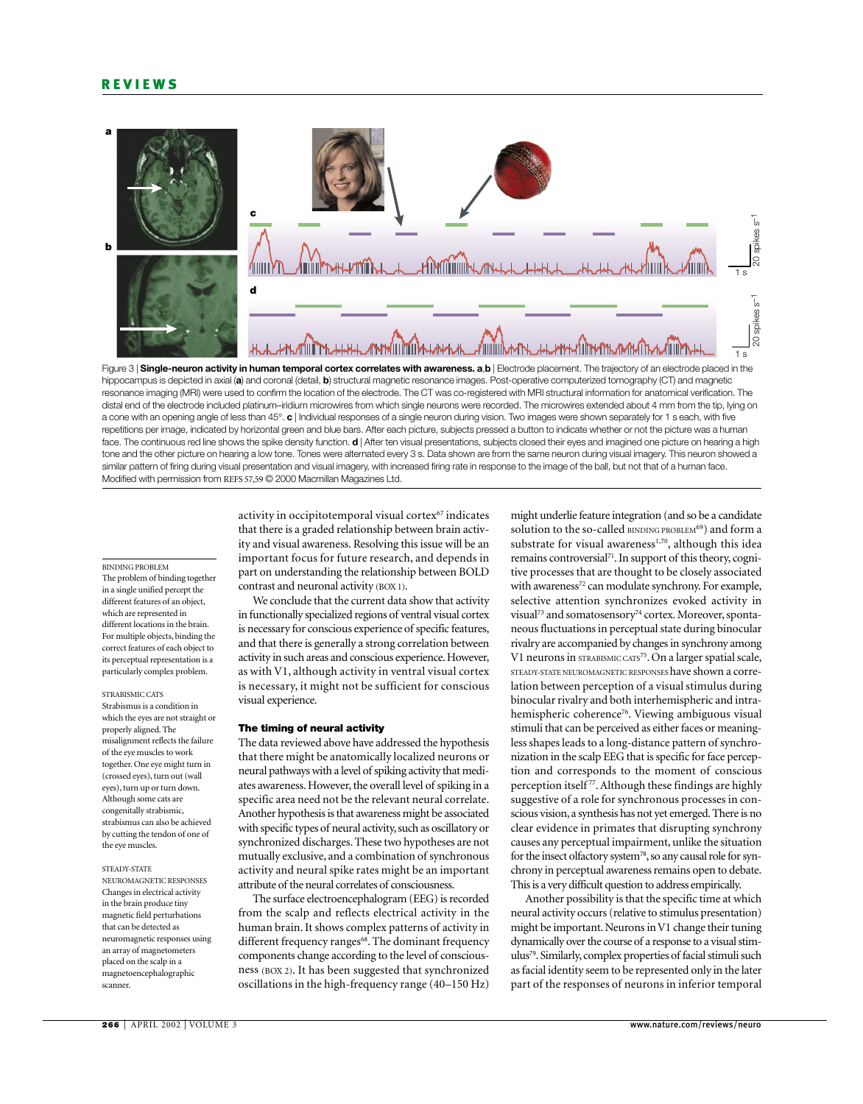

Figure 3 | Single-neuron activity in human temporal cortex correlates with awareness. a,b | Electrode placement. The trajectory of an electrode placed in the hippocampus is depicted in axial (**a**) and coronal (detail, **b**) structural magnetic resonance images. Post-operative computerized tomography (CT) and magnetic resonance imaging (MRI) were used to confirm the location of the electrode. The CT was co-registered with MRI structural information for anatomical verification. The distal end of the electrode included platinum-iridium microwires from which single neurons were recorded. The microwires extended about 4 mm from the tip, lying on a cone with an opening angle of less than 45°. **c** | Individual responses of a single neuron during vision. Two images were shown separately for 1 s each, with five repetitions per image, indicated by horizontal green and blue bars. After each picture, subjects pressed a button to indicate whether or not the picture was a human face. The continuous red line shows the spike density function. **d** | After ten visual presentations, subjects closed their eyes and imagined one picture on hearing a high tone and the other picture on hearing a low tone. Tones were alternated every 3 s. Data shown are from the same neuron during visual imagery. This neuron showed a similar pattern of firing during visual presentation and visual imagery, with increased firing rate in response to the image of the ball, but not that of a human face. Modified with permission from REFS 57,59 © 2000 Macmillan Magazines Ltd.

#### BINDING PROBLEM

The problem of binding together in a single unified percept the different features of an object, which are represented in different locations in the brain. For multiple objects, binding the correct features of each object to its perceptual representation is a particularly complex problem.

#### STRABISMIC CATS

Strabismus is a condition in which the eyes are not straight or properly aligned. The misalignment reflects the failure of the eye muscles to work together. One eye might turn in (crossed eyes), turn out (wall eyes), turn up or turn down. Although some cats are congenitally strabismic, strabismus can also be achieved by cutting the tendon of one of the eye muscles.

#### STEADY-STATE

NEUROMAGNETIC RESPONSES Changes in electrical activity in the brain produce tiny magnetic field perturbations that can be detected as neuromagnetic responses using an array of magnetometers placed on the scalp in a magnetoencephalographic scanner.

activity in occipitotemporal visual cortex<sup>67</sup> indicates that there is a graded relationship between brain activity and visual awareness. Resolving this issue will be an important focus for future research, and depends in part on understanding the relationship between BOLD contrast and neuronal activity (BOX 1).

We conclude that the current data show that activity in functionally specialized regions of ventral visual cortex is necessary for conscious experience of specific features, and that there is generally a strong correlation between activity in such areas and conscious experience. However, as with V1, although activity in ventral visual cortex is necessary, it might not be sufficient for conscious visual experience.

## **The timing of neural activity**

The data reviewed above have addressed the hypothesis that there might be anatomically localized neurons or neural pathways with a level of spiking activity that mediates awareness. However, the overall level of spiking in a specific area need not be the relevant neural correlate. Another hypothesis is that awareness might be associated with specific types of neural activity, such as oscillatory or synchronized discharges. These two hypotheses are not mutually exclusive, and a combination of synchronous activity and neural spike rates might be an important attribute of the neural correlates of consciousness.

The surface electroencephalogram (EEG) is recorded from the scalp and reflects electrical activity in the human brain. It shows complex patterns of activity in different frequency ranges<sup>68</sup>. The dominant frequency components change according to the level of consciousness (BOX 2). It has been suggested that synchronized oscillations in the high-frequency range (40–150 Hz)

might underlie feature integration (and so be a candidate solution to the so-called BINDING PROBLEM<sup>69</sup>) and form a substrate for visual awareness<sup>1,70</sup>, although this idea remains controversial<sup>71</sup>. In support of this theory, cognitive processes that are thought to be closely associated with awareness<sup>72</sup> can modulate synchrony. For example, selective attention synchronizes evoked activity in visual<sup>73</sup> and somatosensory<sup>74</sup> cortex. Moreover, spontaneous fluctuations in perceptual state during binocular rivalry are accompanied by changes in synchrony among V1 neurons in STRABISMIC CATS<sup>75</sup>. On a larger spatial scale, STEADY-STATE NEUROMAGNETIC RESPONSES have shown a correlation between perception of a visual stimulus during binocular rivalry and both interhemispheric and intrahemispheric coherence<sup>76</sup>. Viewing ambiguous visual stimuli that can be perceived as either faces or meaningless shapes leads to a long-distance pattern of synchronization in the scalp EEG that is specific for face perception and corresponds to the moment of conscious perception itself<sup>77</sup>. Although these findings are highly suggestive of a role for synchronous processes in conscious vision, a synthesis has not yet emerged. There is no clear evidence in primates that disrupting synchrony causes any perceptual impairment, unlike the situation for the insect olfactory system<sup>78</sup>, so any causal role for synchrony in perceptual awareness remains open to debate. This is a very difficult question to address empirically.

Another possibility is that the specific time at which neural activity occurs (relative to stimulus presentation) might be important. Neurons in V1 change their tuning dynamically over the course of a response to a visual stimulus79. Similarly, complex properties of facial stimuli such as facial identity seem to be represented only in the later part of the responses of neurons in inferior temporal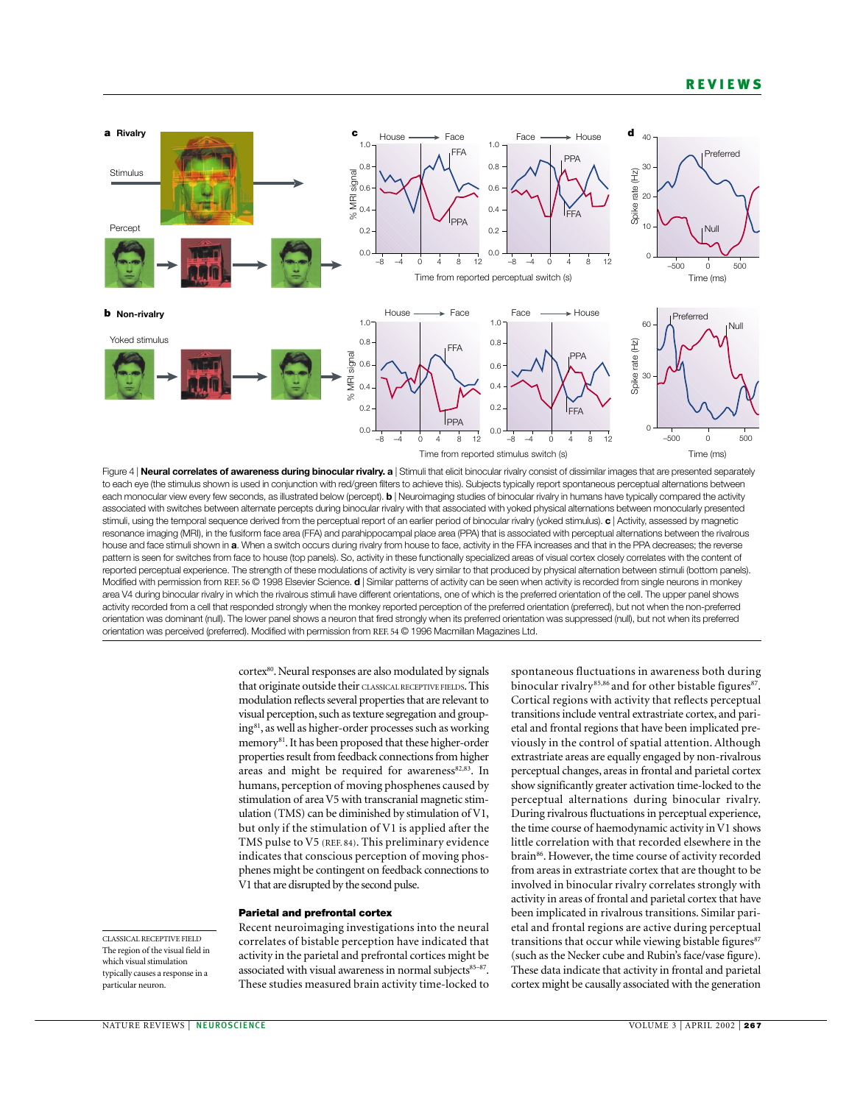

Figure 4 | **Neural correlates of awareness during binocular rivalry. a** | Stimuli that elicit binocular rivalry consist of dissimilar images that are presented separately to each eye (the stimulus shown is used in conjunction with red/green filters to achieve this). Subjects typically report spontaneous perceptual alternations between each monocular view every few seconds, as illustrated below (percept). **b** | Neuroimaging studies of binocular rivalry in humans have typically compared the activity associated with switches between alternate percepts during binocular rivalry with that associated with yoked physical alternations between monocularly presented stimuli, using the temporal sequence derived from the perceptual report of an earlier period of binocular rivalry (yoked stimulus). **c** | Activity, assessed by magnetic resonance imaging (MRI), in the fusiform face area (FFA) and parahippocampal place area (PPA) that is associated with perceptual alternations between the rivalrous house and face stimuli shown in **a**. When a switch occurs during rivalry from house to face, activity in the FFA increases and that in the PPA decreases; the reverse pattern is seen for switches from face to house (top panels). So, activity in these functionally specialized areas of visual cortex closely correlates with the content of reported perceptual experience. The strength of these modulations of activity is very similar to that produced by physical alternation between stimuli (bottom panels). Modified with permission from REF. 56 © 1998 Elsevier Science. **d** | Similar patterns of activity can be seen when activity is recorded from single neurons in monkey area V4 during binocular rivalry in which the rivalrous stimuli have different orientations, one of which is the preferred orientation of the cell. The upper panel shows activity recorded from a cell that responded strongly when the monkey reported perception of the preferred orientation (preferred), but not when the non-preferred orientation was dominant (null). The lower panel shows a neuron that fired strongly when its preferred orientation was suppressed (null), but not when its preferred orientation was perceived (preferred). Modified with permission from REF. 54 © 1996 Macmillan Magazines Ltd.

> cortex<sup>80</sup>. Neural responses are also modulated by signals that originate outside their CLASSICAL RECEPTIVE FIELDS. This modulation reflects several properties that are relevant to visual perception, such as texture segregation and grouping81, as well as higher-order processes such as working memory<sup>81</sup>. It has been proposed that these higher-order properties result from feedback connections from higher areas and might be required for awareness $82,83$ . In humans, perception of moving phosphenes caused by stimulation of area V5 with transcranial magnetic stimulation (TMS) can be diminished by stimulation of V1, but only if the stimulation of V1 is applied after the TMS pulse to V5 (REF. 84). This preliminary evidence indicates that conscious perception of moving phosphenes might be contingent on feedback connections to V1 that are disrupted by the second pulse.

## **Parietal and prefrontal cortex**

Recent neuroimaging investigations into the neural correlates of bistable perception have indicated that activity in the parietal and prefrontal cortices might be associated with visual awareness in normal subjects<sup>85-87</sup>. These studies measured brain activity time-locked to

spontaneous fluctuations in awareness both during binocular rivalry<sup>85,86</sup> and for other bistable figures<sup>87</sup>. Cortical regions with activity that reflects perceptual transitions include ventral extrastriate cortex, and parietal and frontal regions that have been implicated previously in the control of spatial attention. Although extrastriate areas are equally engaged by non-rivalrous perceptual changes, areas in frontal and parietal cortex show significantly greater activation time-locked to the perceptual alternations during binocular rivalry. During rivalrous fluctuations in perceptual experience, the time course of haemodynamic activity in V1 shows little correlation with that recorded elsewhere in the brain<sup>86</sup>. However, the time course of activity recorded from areas in extrastriate cortex that are thought to be involved in binocular rivalry correlates strongly with activity in areas of frontal and parietal cortex that have been implicated in rivalrous transitions. Similar parietal and frontal regions are active during perceptual transitions that occur while viewing bistable figures<sup>87</sup> (such as the Necker cube and Rubin's face/vase figure). These data indicate that activity in frontal and parietal cortex might be causally associated with the generation

CLASSICAL RECEPTIVE FIELD The region of the visual field in which visual stimulation typically causes a response in a particular neuron.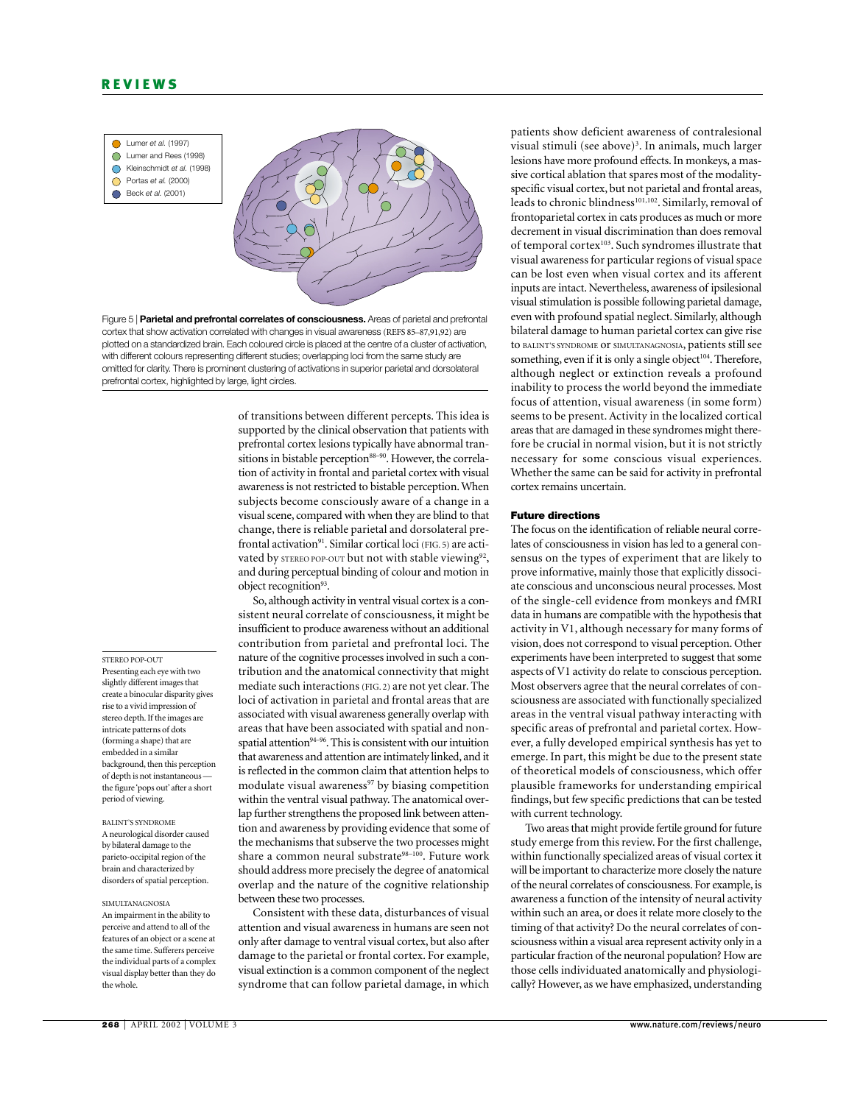Lumer *et al.* (1997)

- Lumer and Rees (1998) ◯
- $\bigcirc$ Kleinschmidt *et al.* (1998)
- Portas *et al.* (2000) Beck *et al.* (2001)

Figure 5 | **Parietal and prefrontal correlates of consciousness.** Areas of parietal and prefrontal cortex that show activation correlated with changes in visual awareness (REFS 85–87,91,92) are plotted on a standardized brain. Each coloured circle is placed at the centre of a cluster of activation, with different colours representing different studies; overlapping loci from the same study are omitted for clarity. There is prominent clustering of activations in superior parietal and dorsolateral prefrontal cortex, highlighted by large, light circles.

> of transitions between different percepts. This idea is supported by the clinical observation that patients with prefrontal cortex lesions typically have abnormal transitions in bistable perception $88-90$ . However, the correlation of activity in frontal and parietal cortex with visual awareness is not restricted to bistable perception. When subjects become consciously aware of a change in a visual scene, compared with when they are blind to that change, there is reliable parietal and dorsolateral prefrontal activation<sup>91</sup>. Similar cortical loci (FIG. 5) are activated by STEREO POP-OUT but not with stable viewing<sup>92</sup>, and during perceptual binding of colour and motion in object recognition<sup>93</sup>.

> So, although activity in ventral visual cortex is a consistent neural correlate of consciousness, it might be insufficient to produce awareness without an additional contribution from parietal and prefrontal loci. The nature of the cognitive processes involved in such a contribution and the anatomical connectivity that might mediate such interactions (FIG. 2) are not yet clear. The loci of activation in parietal and frontal areas that are associated with visual awareness generally overlap with areas that have been associated with spatial and nonspatial attention $94-96$ . This is consistent with our intuition that awareness and attention are intimately linked, and it is reflected in the common claim that attention helps to modulate visual awareness<sup>97</sup> by biasing competition within the ventral visual pathway. The anatomical overlap further strengthens the proposed link between attention and awareness by providing evidence that some of the mechanisms that subserve the two processes might share a common neural substrate<sup>98-100</sup>. Future work should address more precisely the degree of anatomical overlap and the nature of the cognitive relationship between these two processes.

> Consistent with these data, disturbances of visual attention and visual awareness in humans are seen not only after damage to ventral visual cortex, but also after damage to the parietal or frontal cortex. For example, visual extinction is a common component of the neglect syndrome that can follow parietal damage, in which

patients show deficient awareness of contralesional visual stimuli (see above)<sup>3</sup>. In animals, much larger lesions have more profound effects. In monkeys, a massive cortical ablation that spares most of the modalityspecific visual cortex, but not parietal and frontal areas, leads to chronic blindness<sup>101,102</sup>. Similarly, removal of frontoparietal cortex in cats produces as much or more decrement in visual discrimination than does removal of temporal cortex103. Such syndromes illustrate that visual awareness for particular regions of visual space can be lost even when visual cortex and its afferent inputs are intact. Nevertheless, awareness of ipsilesional visual stimulation is possible following parietal damage, even with profound spatial neglect. Similarly, although bilateral damage to human parietal cortex can give rise to BALINT'S SYNDROME or SIMULTANAGNOSIA, patients still see something, even if it is only a single object<sup>104</sup>. Therefore, although neglect or extinction reveals a profound inability to process the world beyond the immediate focus of attention, visual awareness (in some form) seems to be present. Activity in the localized cortical areas that are damaged in these syndromes might therefore be crucial in normal vision, but it is not strictly necessary for some conscious visual experiences. Whether the same can be said for activity in prefrontal cortex remains uncertain.

# **Future directions**

The focus on the identification of reliable neural correlates of consciousness in vision has led to a general consensus on the types of experiment that are likely to prove informative, mainly those that explicitly dissociate conscious and unconscious neural processes. Most of the single-cell evidence from monkeys and fMRI data in humans are compatible with the hypothesis that activity in V1, although necessary for many forms of vision, does not correspond to visual perception. Other experiments have been interpreted to suggest that some aspects of V1 activity do relate to conscious perception. Most observers agree that the neural correlates of consciousness are associated with functionally specialized areas in the ventral visual pathway interacting with specific areas of prefrontal and parietal cortex. However, a fully developed empirical synthesis has yet to emerge. In part, this might be due to the present state of theoretical models of consciousness, which offer plausible frameworks for understanding empirical findings, but few specific predictions that can be tested with current technology.

Two areas that might provide fertile ground for future study emerge from this review. For the first challenge, within functionally specialized areas of visual cortex it will be important to characterize more closely the nature of the neural correlates of consciousness. For example, is awareness a function of the intensity of neural activity within such an area, or does it relate more closely to the timing of that activity? Do the neural correlates of consciousness within a visual area represent activity only in a particular fraction of the neuronal population? How are those cells individuated anatomically and physiologically? However, as we have emphasized, understanding

#### STEREO POP-OUT

Presenting each eye with two slightly different images that create a binocular disparity gives rise to a vivid impression of stereo depth. If the images are intricate patterns of dots (forming a shape) that are embedded in a similar background, then this perception of depth is not instantaneous the figure 'pops out' after a short period of viewing.

# BALINT'S SYNDROME

A neurological disorder caused by bilateral damage to the parieto-occipital region of the brain and characterized by disorders of spatial perception.

#### SIMULTANAGNOSIA

An impairment in the ability to perceive and attend to all of the features of an object or a scene at the same time. Sufferers perceive the individual parts of a complex visual display better than they do the whole.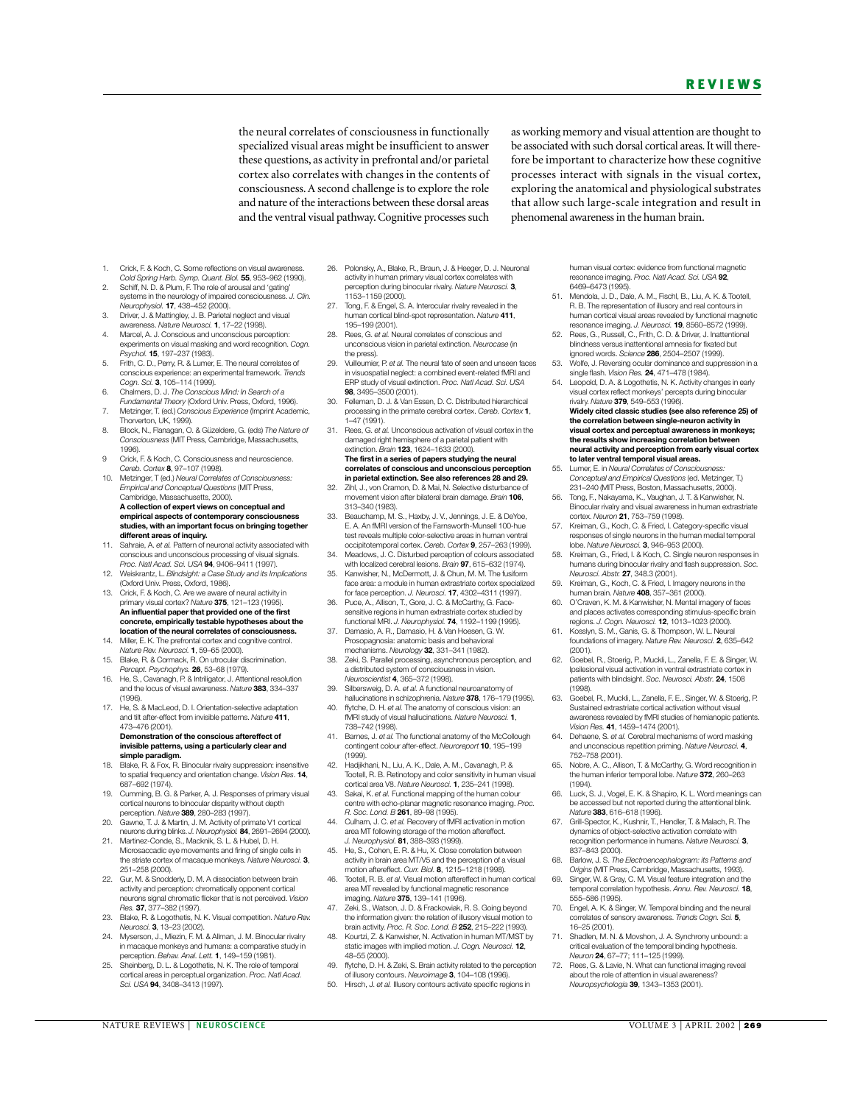the neural correlates of consciousness in functionally specialized visual areas might be insufficient to answer these questions, as activity in prefrontal and/or parietal cortex also correlates with changes in the contents of consciousness. A second challenge is to explore the role and nature of the interactions between these dorsal areas and the ventral visual pathway. Cognitive processes such

as working memory and visual attention are thought to be associated with such dorsal cortical areas. It will therefore be important to characterize how these cognitive processes interact with signals in the visual cortex, exploring the anatomical and physiological substrates that allow such large-scale integration and result in phenomenal awareness in the human brain.

- 1. Crick, F. & Koch, C. Some reflections on visual awarenes
- *Cold Spring Harb. Symp. Quant. Biol.* **55**, 953–962 (1990). 2. Schiff, N. D. & Plum, F. The role of arousal and 'gating' systems in the neurology of impaired consciousness. *J. Clin. Neurophysiol.* **17**, 438–452 (2000).
- 3. Driver, J. & Mattingley, J. B. Parietal neglect and visual awareness. *Nature Neurosci.* **1**, 17–22 (1998).
- 4. Marcel, A. J. Conscious and unconscious perception: experiments on visual masking and word recognition. *Cogn. Psychol.* **15**, 197–237 (1983).
- 5. Frith, C. D., Perry, R. & Lumer, E. The neural correlates of conscious experience: an experimental framework. *Trends Cogn. Sci.* **3**, 105–114 (1999).
- 
- 6. Chalmers, D. J. *The Conscious Mind: In Search of a Fundamental Theory* (Oxford Univ. Press, Oxford, 1996). 7. Metzinger, T. (ed.) *Conscious Experience* (Imprint Academic,
- Thorverton, UK, 1999). 8. Block, N., Flanagan, O. & Güzeldere, G. (eds) *The Nature of*
- *Consciousness* (MIT Press, Cambridge, Massachusetts, 1996).
- 9 Crick, F. & Koch, C. Consciousness and neuroscience. *Cereb. Cortex* **8**, 97–107 (1998). Metzinger, T (ed.) Neural Correlates of Consciousness *Empirical and Conceptual Questions* (MIT Press, Cambridge, Massachusetts, 2000). **A collection of expert views on conceptual and empirical aspects of contemporary consciousness**
- **studies, with an important focus on bringing together different areas of inquiry.** 11. Sahraie, A. *et al.* Pattern of neuronal activity associated with
- conscious and unconscious processing of visual signals. *Proc. Natl Acad. Sci. USA* **94**, 9406–9411 (1997). 12. Weiskrantz, L. *Blindsight: a Case Study and its Implications*
- (Oxford Univ. Press, Oxford, 1986). 13. Crick, F. & Koch, C. Are we aware of neural activity in primary visual cortex? *Nature* **375**, 121–123 (1995).
- **An influential paper that provided one of the first concrete, empirically testable hypotheses about the location of the neural correlates of consciousness.**
- 14. Miller, E. K. The prefrontal cortex and cognitive control. *Nature Rev. Neurosci.* **1**, 59–65 (2000).
- 15. Blake, R. & Cormack, R. On utrocular discrimination. *Percept. Psychophys.* **26**, 53–68 (1979). 16. He, S., Cavanagh, P. & Intriligator, J. Attentional resolution
- and the locus of visual awareness. *Nature* **383**, 334–337 (1996).
- 17. He, S. & MacLeod, D. I. Orientation-selective adaptation and tilt after-effect from invisible patterns. *Nature* **411**, 473–476 (2001). **Demonstration of the conscious aftereffect of**

# **invisible patterns, using a particularly clear and simple paradigm.**

- 18. Blake, R. & Fox, R. Binocular rivalry suppression: insensitive to spatial frequency and orientation change. *Vision Res*. **14**, 687–692 (1974).
- 19. Cumming, B. G. & Parker, A. J. Responses of primary visual cortical neurons to binocular disparity without depth perception. *Nature* **389**, 280–283 (1997).
- 20. Gawne, T. J. & Martin, J. M. Activity of primate V1 cortical neurons during blinks. *J. Neurophysiol.* **84**, 2691–2694 (2000).
- 21. Martinez-Conde, S., Macknik, S. L. & Hubel, D. H. Microsaccadic eye movements and firing of single cells in the striate cortex of macaque monkeys. *Nature Neurosci.* **3**, 251–258 (2000).
- 22. Gur, M. & Snodderly, D. M. A dissociation between brain activity and perception: chromatically opponent cortical neurons signal chromatic flicker that is not perceived. *Vision Res.* **37**, 377–382 (1997).
- 23. Blake, R. & Logothetis, N. K. Visual competition. *Nature Rev. Neurosci.* **3**, 13–23 (2002). 24. Myserson, J., Miezin, F. M. & Allman, J. M. Binocular rivalry
- in macaque monkeys and humans: a comparative study in perception. *Behav. Anal. Lett.* **1**, 149–159 (1981).
- 25. Sheinberg, D. L. & Logothetis, N. K. The role of temporal cortical areas in perceptual organization. *Proc. Natl Acad. Sci. USA* **94**, 3408–3413 (1997).
- 26. Polonsky, A., Blake, R., Braun, J. & Heeger, D. J. Neuronal activity in human primary visual cortex correlates with perception during binocular rivalry. *Nature Neurosci.* **3**, 1153–1159 (2000).
- 27. Tong, F. & Engel, S. A. Interocular rivalry revealed in the human cortical blind-spot representation. *Nature* **411**, 195–199 (2001).
- 28. Rees, G. *et al.* Neural correlates of conscious and unconscious vision in parietal extinction. *Neurocase* (in the press).
- 29. Vuilleumier, P. *et al.* The neural fate of seen and unseen faces in visuospatial neglect: a combined event-related fMRI and ERP study of visual extinction. *Proc. Natl Acad. Sci. USA* **98**, 3495–3500 (2001).
- 30. Felleman, D. J. & Van Essen, D. C. Distributed hierarchical processing in the primate cerebral cortex. *Cereb. Cortex* **1**, 1–47 (1991).
- 31. Rees, G. *et al.* Unconscious activation of visual cortex in the damaged right hemisphere of a parietal patient with extinction. *Brain* **123**, 1624–1633 (2000). **The first in a series of papers studying the neural correlates of conscious and unconscious perception in parietal extinction. See also references 28 and 29.**
- 32. Zihl, J., von Cramon, D. & Mai, N. Selective disturbance of movement vision after bilateral brain damage. *Brain* **106**, 313–340 (1983).
- 33. Beauchamp, M. S., Haxby, J. V., Jennings, J. E. & DeYoe, E. A. An fMRI version of the Farnsworth-Munsell 100-hue test reveals multiple color-selective areas in human ventral occipitotemporal cortex. *Cereb. Cortex* **9**, 257–263 (1999).
- Meadows, J. C. Disturbed perception of colours associated with localized cerebral lesions. *Brain* **97**, 615–632 (1974).
- 35. Kanwisher, N., McDermott, J. & Chun, M. M. The fusiform face area: a module in human extrastriate cortex specialized for face perception. *J. Neurosci.* **17**, 4302–4311 (1997).
- 36. Puce, A., Allison, T., Gore, J. C. & McCarthy, G. Facesensitive regions in human extrastriate cortex studied by functional MRI. *J. Neurophysiol.* **74**, 1192–1199 (1995).
- 37. Damasio, A. R., Damasio, H. & Van Hoesen, G. W. Prosopagnosia: anatomic basis and behavioral mechanisms. *Neurology* **32**, 331–341 (1982).
- 38. Zeki, S. Parallel processing, asynchronous perception, and a distributed system of consciousness in vision. *Neuroscientist* **4**, 365–372 (1998).
- 39. Silbersweig, D. A. *et al.* A functional neuroanatomy of
- hallucinations in schizophrenia. *Nature* **378**, 176–179 (1995). 40. ffytche, D. H. *et al.* The anatomy of conscious vision: an fMRI study of visual hallucinations. *Nature Neurosci.* **1**, 738–742 (1998).
- 41. Barnes, J. *et al.* The functional anatomy of the McCollough contingent colour after-effect. *Neuroreport* **10**, 195–199 (1999).
- 42. Hadjikhani, N., Liu, A. K., Dale, A. M., Cavanagh, P. & Tootell, R. B. Retinotopy and color sensitivity in human visual cortical area V8. *Nature Neurosci.* **1**, 235–241 (1998).
- 43. Sakai, K. *et al.* Functional mapping of the human colour centre with echo-planar magnetic resonance imaging. *Proc. R. Soc. Lond. B* **261**, 89–98 (1995).
- 44. Culham, J. C. *et al.* Recovery of fMRI activation in motion area MT following storage of the motion aftereffect. *J. Neurophysiol.* **81**, 388–393 (1999).
- 45. He, S., Cohen, E. R. & Hu, X. Close correlation between activity in brain area MT/V5 and the perception of a visual motion aftereffect. *Curr. Biol.* **8**, 1215–1218 (1998).
- 46. Tootell, R. B. *et al.* Visual motion aftereffect in human cortical area MT revealed by functional magnetic resonance imaging. *Nature* **375**, 139–141 (1996).
- 47. Zeki, S., Watson, J. D. & Frackowiak, R. S. Going beyond the information given: the relation of illusory visual motion to brain activity. *Proc. R. Soc. Lond. B* **252**, 215–222 (1993).
- 48. Kourtzi, Z. & Kanwisher, N. Activation in human MT/MST by static images with implied motion. *J. Cogn. Neurosci.* **12**, 48–55 (2000).
- 49. ffytche, D. H. & Zeki, S. Brain activity related to the perception of illusory contours. *Neuroimage* **3**, 104–108 (1996).
- 50. Hirsch, J. *et al.* Illusory contours activate specific regions in

human visual cortex: evidence from functional magnetic resonance imaging. *Proc. Natl Acad. Sci. USA* **92**, 6469–6473 (1995).

- 51. Mendola, J. D., Dale, A. M., Fischl, B., Liu, A. K. & Tootell, R. B. The representation of illusory and real contours in human cortical visual areas revealed by functional magnetic
- resonance imaging. *J. Neurosci.* **19**, 8560–8572 (1999). 52. Rees, G., Russell, C., Frith, C. D. & Driver, J. Inattentional blindness versus inattentional amnesia for fixated but ignored words. *Science* **286**, 2504–2507 (1999).
- 53. Wolfe, J. Reversing ocular dominance and suppression in a single flash. *Vision Res.* **24**, 471–478 (1984).
- Leopold, D. A. & Logothetis, N. K. Activity changes in early visual cortex reflect monkeys' percepts during binocular rivalry. *Nature* **379**, 549–553 (1996).

**Widely cited classic studies (see also reference 25) of the correlation between single-neuron activity in visual cortex and perceptual awareness in monkeys; the results show increasing correlation between neural activity and perception from early visual cortex to later ventral temporal visual areas.**

- 55. Lumer, E. in *Neural Correlates of Consciousness: Conceptual and Empirical Questions* (ed. Metzinger, T.)
- 231–240 (MIT Press, Boston, Massachusetts, 2000). 56. Tong, F., Nakayama, K., Vaughan, J. T. & Kanwisher, N. Binocular rivalry and visual awareness in human extrastriate cortex. *Neuron* **21**, 753–759 (1998).
- Kreiman, G., Koch, C. & Fried, I. Category-specific visual responses of single neurons in the human medial temporal lobe. *Nature Neurosci.* **3**, 946–953 (2000).
- 58. Kreiman, G., Fried, I. & Koch, C. Single neuron responses in humans during binocular rivalry and flash suppression. *Soc. Neurosci. Abstr.* **27**, 348.3 (2001).
- 59. Kreiman, G., Koch, C. & Fried, I. Imagery neurons in the human brain. *Nature* **408**, 357–361 (2000).
- 60. O'Craven, K. M. & Kanwisher, N. Mental imagery of faces and places activates corresponding stimulus-specific brain regions. *J. Cogn. Neurosci.* **12**, 1013–1023 (2000).
- 61. Kosslyn, S. M., Ganis, G. & Thompson, W. L. Neural foundations of imagery. *Nature Rev. Neurosci.* **2**, 635–642 (2001).
- 62. Goebel, R., Stoerig, P., Muckli, L., Zanella, F. E. & Singer, W. Ipsilesional visual activation in ventral extrastriate cortex in patients with blindsight. *Soc. Neurosci. Abstr.* **24**, 1508 (1998).
- 63. Goebel, R., Muckli, L., Zanella, F. E., Singer, W. & Stoerig, P. Sustained extrastriate cortical activation without visual awareness revealed by fMRI studies of hemianopic patients. *Vision Res.* **41**, 1459–1474 (2001).
- 64. Dehaene, S. *et al.* Cerebral mechanisms of word masking and unconscious repetition priming. *Nature Neurosci.* **4**, 752–758 (2001).
- 65. Nobre, A. C., Allison, T. & McCarthy, G. Word recognition in the human inferior temporal lobe. *Nature* **372**, 260–263 (1994).
- 66. Luck, S. J., Vogel, E. K. & Shapiro, K. L. Word meanings can be accessed but not reported during the attentional blink. *Nature* **383**, 616–618 (1996).
- 67. Grill-Spector, K., Kushnir, T., Hendler, T. & Malach, R. The dynamics of object-selective activation correlate with recognition performance in humans. *Nature Neurosci.* **3**, 837–843 (2000).
- 68. Barlow, J. S. *The Electroencephalogram: its Patterns and Origins* (MIT Press, Cambridge, Massachusetts, 1993).
- Singer, W. & Gray, C. M. Visual feature integration and the temporal correlation hypothesis. *Annu. Rev. Neurosci.* **18**, 555–586 (1995).
- Engel, A. K. & Singer, W. Temporal binding and the neural correlates of sensory awareness. *Trends Cogn. Sci.* **5**, 16–25 (2001)
- 71. Shadlen, M. N. & Movshon, J. A. Synchrony unbound: a critical evaluation of the temporal binding hypothesis. *Neuron* **24**, 67–77; 111–125 (1999).
- 72. Rees, G. & Lavie, N. What can functional imaging reveal about the role of attention in visual awareness? *Neuropsychologia* **39**, 1343–1353 (2001).